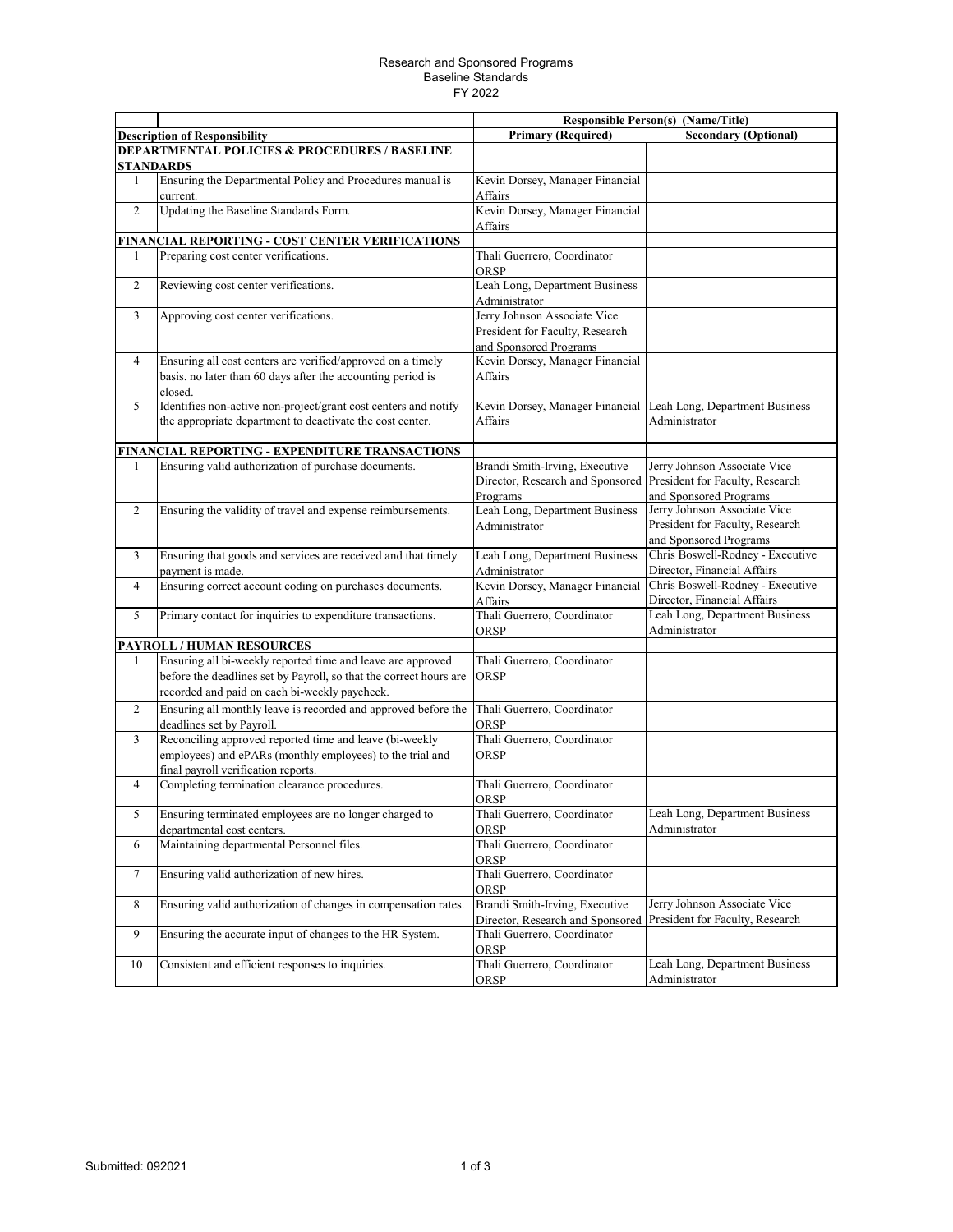## Research and Sponsored Programs Baseline Standards FY 2022

|                                                                              |                                                                                                                                                                                    |                                                                                           | <b>Responsible Person(s) (Name/Title)</b>                                                 |  |  |  |
|------------------------------------------------------------------------------|------------------------------------------------------------------------------------------------------------------------------------------------------------------------------------|-------------------------------------------------------------------------------------------|-------------------------------------------------------------------------------------------|--|--|--|
|                                                                              | <b>Description of Responsibility</b>                                                                                                                                               | <b>Primary (Required)</b>                                                                 | <b>Secondary (Optional)</b>                                                               |  |  |  |
| <b>DEPARTMENTAL POLICIES &amp; PROCEDURES / BASELINE</b><br><b>STANDARDS</b> |                                                                                                                                                                                    |                                                                                           |                                                                                           |  |  |  |
| 1                                                                            | Ensuring the Departmental Policy and Procedures manual is<br>current.                                                                                                              | Kevin Dorsey, Manager Financial<br>Affairs                                                |                                                                                           |  |  |  |
| 2                                                                            | Updating the Baseline Standards Form.                                                                                                                                              | Kevin Dorsey, Manager Financial                                                           |                                                                                           |  |  |  |
|                                                                              | FINANCIAL REPORTING - COST CENTER VERIFICATIONS                                                                                                                                    | Affairs                                                                                   |                                                                                           |  |  |  |
| 1                                                                            | Preparing cost center verifications.                                                                                                                                               | Thali Guerrero, Coordinator                                                               |                                                                                           |  |  |  |
|                                                                              |                                                                                                                                                                                    | <b>ORSP</b>                                                                               |                                                                                           |  |  |  |
| 2                                                                            | Reviewing cost center verifications.                                                                                                                                               | Leah Long, Department Business<br>Administrator                                           |                                                                                           |  |  |  |
| $\overline{3}$                                                               | Approving cost center verifications.                                                                                                                                               | Jerry Johnson Associate Vice<br>President for Faculty, Research<br>and Sponsored Programs |                                                                                           |  |  |  |
| $\overline{4}$                                                               | Ensuring all cost centers are verified/approved on a timely<br>basis. no later than 60 days after the accounting period is<br>closed.                                              | Kevin Dorsey, Manager Financial<br>Affairs                                                |                                                                                           |  |  |  |
| 5                                                                            | Identifies non-active non-project/grant cost centers and notify<br>the appropriate department to deactivate the cost center.                                                       | Kevin Dorsey, Manager Financial<br>Affairs                                                | Leah Long, Department Business<br>Administrator                                           |  |  |  |
|                                                                              | FINANCIAL REPORTING - EXPENDITURE TRANSACTIONS                                                                                                                                     |                                                                                           |                                                                                           |  |  |  |
| 1                                                                            | Ensuring valid authorization of purchase documents.                                                                                                                                | Brandi Smith-Irving, Executive<br>Director, Research and Sponsored<br>Programs            | Jerry Johnson Associate Vice<br>President for Faculty, Research<br>and Sponsored Programs |  |  |  |
| 2                                                                            | Ensuring the validity of travel and expense reimbursements.                                                                                                                        | Leah Long, Department Business<br>Administrator                                           | Jerry Johnson Associate Vice<br>President for Faculty, Research<br>and Sponsored Programs |  |  |  |
| 3                                                                            | Ensuring that goods and services are received and that timely<br>payment is made.                                                                                                  | Leah Long, Department Business<br>Administrator                                           | Chris Boswell-Rodney - Executive<br>Director, Financial Affairs                           |  |  |  |
| $\overline{4}$                                                               | Ensuring correct account coding on purchases documents.                                                                                                                            | Kevin Dorsey, Manager Financial<br>Affairs                                                | Chris Boswell-Rodney - Executive<br>Director, Financial Affairs                           |  |  |  |
| 5                                                                            | Primary contact for inquiries to expenditure transactions.                                                                                                                         | Thali Guerrero, Coordinator<br>ORSP                                                       | Leah Long, Department Business<br>Administrator                                           |  |  |  |
|                                                                              | <b>PAYROLL / HUMAN RESOURCES</b>                                                                                                                                                   |                                                                                           |                                                                                           |  |  |  |
| 1                                                                            | Ensuring all bi-weekly reported time and leave are approved<br>before the deadlines set by Payroll, so that the correct hours are<br>recorded and paid on each bi-weekly paycheck. | Thali Guerrero, Coordinator<br>ORSP                                                       |                                                                                           |  |  |  |
| $\overline{2}$                                                               | Ensuring all monthly leave is recorded and approved before the<br>deadlines set by Payroll.                                                                                        | Thali Guerrero, Coordinator<br>ORSP                                                       |                                                                                           |  |  |  |
| $\overline{\mathbf{3}}$                                                      | Reconciling approved reported time and leave (bi-weekly<br>employees) and ePARs (monthly employees) to the trial and<br>final payroll verification reports.                        | Thali Guerrero, Coordinator<br>ORSP                                                       |                                                                                           |  |  |  |
| $\overline{4}$                                                               | Completing termination clearance procedures.                                                                                                                                       | Thali Guerrero, Coordinator<br>ORSP                                                       |                                                                                           |  |  |  |
| 5                                                                            | Ensuring terminated employees are no longer charged to<br>departmental cost centers.                                                                                               | Thali Guerrero, Coordinator<br>ORSP                                                       | Leah Long, Department Business<br>Administrator                                           |  |  |  |
| 6                                                                            | Maintaining departmental Personnel files.                                                                                                                                          | Thali Guerrero, Coordinator<br>ORSP                                                       |                                                                                           |  |  |  |
| $\tau$                                                                       | Ensuring valid authorization of new hires.                                                                                                                                         | Thali Guerrero, Coordinator<br>ORSP                                                       |                                                                                           |  |  |  |
| 8                                                                            | Ensuring valid authorization of changes in compensation rates.                                                                                                                     | Brandi Smith-Irving, Executive<br>Director, Research and Sponsored                        | Jerry Johnson Associate Vice<br>President for Faculty, Research                           |  |  |  |
| 9                                                                            | Ensuring the accurate input of changes to the HR System.                                                                                                                           | Thali Guerrero, Coordinator<br>ORSP                                                       |                                                                                           |  |  |  |
| 10                                                                           | Consistent and efficient responses to inquiries.                                                                                                                                   | Thali Guerrero, Coordinator<br>ORSP                                                       | Leah Long, Department Business<br>Administrator                                           |  |  |  |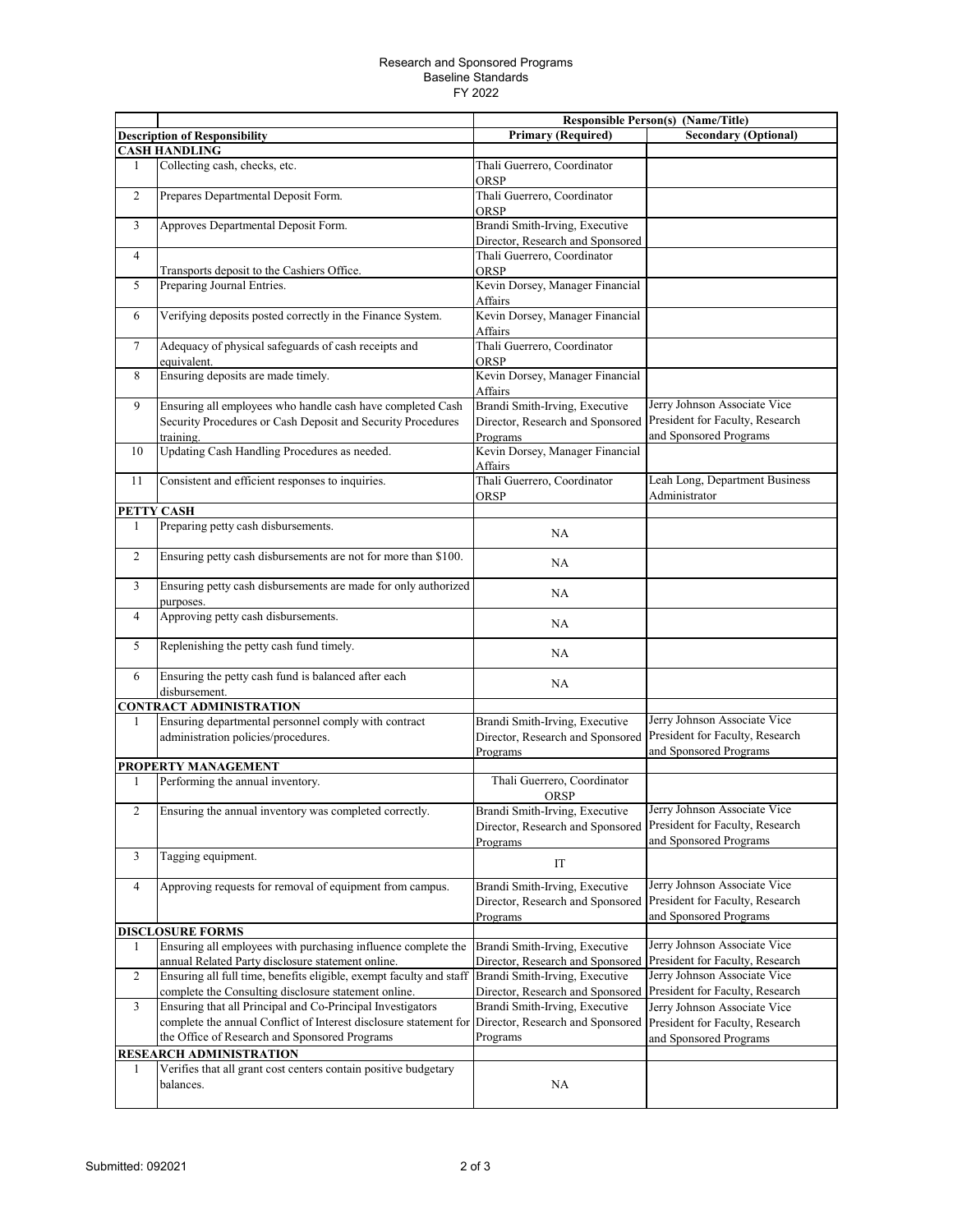## Research and Sponsored Programs Baseline Standards FY 2022

|                                |                                                                                                                             | <b>Responsible Person(s) (Name/Title)</b>                                                                      |                                                                                           |  |  |
|--------------------------------|-----------------------------------------------------------------------------------------------------------------------------|----------------------------------------------------------------------------------------------------------------|-------------------------------------------------------------------------------------------|--|--|
|                                | <b>Description of Responsibility</b>                                                                                        | <b>Primary (Required)</b>                                                                                      | <b>Secondary (Optional)</b>                                                               |  |  |
| <b>CASH HANDLING</b>           |                                                                                                                             |                                                                                                                |                                                                                           |  |  |
| 1                              | Collecting cash, checks, etc.                                                                                               | Thali Guerrero, Coordinator<br>ORSP                                                                            |                                                                                           |  |  |
| $\mathfrak{2}$                 | Prepares Departmental Deposit Form.                                                                                         | Thali Guerrero, Coordinator<br>ORSP                                                                            |                                                                                           |  |  |
| 3                              | Approves Departmental Deposit Form.                                                                                         | Brandi Smith-Irving, Executive<br>Director, Research and Sponsored                                             |                                                                                           |  |  |
| 4                              |                                                                                                                             | Thali Guerrero, Coordinator                                                                                    |                                                                                           |  |  |
|                                | Transports deposit to the Cashiers Office.                                                                                  | ORSP                                                                                                           |                                                                                           |  |  |
| 5                              | Preparing Journal Entries.                                                                                                  | Kevin Dorsey, Manager Financial                                                                                |                                                                                           |  |  |
|                                |                                                                                                                             | Affairs                                                                                                        |                                                                                           |  |  |
| 6                              | Verifying deposits posted correctly in the Finance System.                                                                  | Kevin Dorsey, Manager Financial<br>Affairs                                                                     |                                                                                           |  |  |
| $\tau$                         | Adequacy of physical safeguards of cash receipts and<br>equivalent.                                                         | Thali Guerrero, Coordinator<br>ORSP                                                                            |                                                                                           |  |  |
| 8                              | Ensuring deposits are made timely.                                                                                          | Kevin Dorsey, Manager Financial<br>Affairs                                                                     |                                                                                           |  |  |
| 9                              | Ensuring all employees who handle cash have completed Cash                                                                  | Brandi Smith-Irving, Executive                                                                                 | Jerry Johnson Associate Vice                                                              |  |  |
|                                | Security Procedures or Cash Deposit and Security Procedures                                                                 | Director, Research and Sponsored                                                                               | President for Faculty, Research                                                           |  |  |
|                                | training.                                                                                                                   | Programs                                                                                                       | and Sponsored Programs                                                                    |  |  |
| 10                             | Updating Cash Handling Procedures as needed.                                                                                | Kevin Dorsey, Manager Financial                                                                                |                                                                                           |  |  |
|                                |                                                                                                                             | Affairs                                                                                                        |                                                                                           |  |  |
| 11                             | Consistent and efficient responses to inquiries.                                                                            | Thali Guerrero, Coordinator                                                                                    | Leah Long, Department Business                                                            |  |  |
|                                |                                                                                                                             | ORSP                                                                                                           | Administrator                                                                             |  |  |
|                                | PETTY CASH                                                                                                                  |                                                                                                                |                                                                                           |  |  |
| 1                              | Preparing petty cash disbursements.                                                                                         | NA                                                                                                             |                                                                                           |  |  |
| $\overline{c}$                 | Ensuring petty cash disbursements are not for more than \$100.                                                              | NA                                                                                                             |                                                                                           |  |  |
| 3                              | Ensuring petty cash disbursements are made for only authorized<br>purposes.                                                 | NA                                                                                                             |                                                                                           |  |  |
| $\overline{4}$                 | Approving petty cash disbursements.                                                                                         | NA                                                                                                             |                                                                                           |  |  |
| 5                              | Replenishing the petty cash fund timely.                                                                                    | NA                                                                                                             |                                                                                           |  |  |
| 6                              | Ensuring the petty cash fund is balanced after each<br>disbursement.                                                        | NA                                                                                                             |                                                                                           |  |  |
| <b>CONTRACT ADMINISTRATION</b> |                                                                                                                             |                                                                                                                |                                                                                           |  |  |
| 1                              | Ensuring departmental personnel comply with contract<br>administration policies/procedures.                                 | Brandi Smith-Irving, Executive<br>Director, Research and Sponsored<br>Programs                                 | Jerry Johnson Associate Vice<br>President for Faculty, Research<br>and Sponsored Programs |  |  |
|                                | PROPERTY MANAGEMENT                                                                                                         |                                                                                                                |                                                                                           |  |  |
| 1                              | Performing the annual inventory.                                                                                            | Thali Guerrero, Coordinator<br>ORSP                                                                            |                                                                                           |  |  |
| $\overline{c}$                 | Ensuring the annual inventory was completed correctly.                                                                      | Brandi Smith-Irving, Executive<br>Director, Research and Sponsored President for Faculty, Research<br>Programs | Jerry Johnson Associate Vice<br>and Sponsored Programs                                    |  |  |
| 3                              | Tagging equipment.                                                                                                          | IT                                                                                                             |                                                                                           |  |  |
| $\overline{4}$                 | Approving requests for removal of equipment from campus.                                                                    | Brandi Smith-Irving, Executive<br>Director, Research and Sponsored<br>Programs                                 | Jerry Johnson Associate Vice<br>President for Faculty, Research<br>and Sponsored Programs |  |  |
|                                | <b>DISCLOSURE FORMS</b>                                                                                                     |                                                                                                                |                                                                                           |  |  |
| 1                              | Ensuring all employees with purchasing influence complete the<br>annual Related Party disclosure statement online.          | Brandi Smith-Irving, Executive<br>Director, Research and Sponsored                                             | Jerry Johnson Associate Vice<br>President for Faculty, Research                           |  |  |
| $\overline{c}$                 | Ensuring all full time, benefits eligible, exempt faculty and staff<br>complete the Consulting disclosure statement online. | Brandi Smith-Irving, Executive<br>Director, Research and Sponsored President for Faculty, Research             | Jerry Johnson Associate Vice                                                              |  |  |
| 3                              | Ensuring that all Principal and Co-Principal Investigators                                                                  | Brandi Smith-Irving, Executive                                                                                 | Jerry Johnson Associate Vice                                                              |  |  |
|                                | complete the annual Conflict of Interest disclosure statement for                                                           | Director, Research and Sponsored                                                                               | President for Faculty, Research                                                           |  |  |
|                                | the Office of Research and Sponsored Programs                                                                               | Programs                                                                                                       |                                                                                           |  |  |
|                                | RESEARCH ADMINISTRATION                                                                                                     |                                                                                                                | and Sponsored Programs                                                                    |  |  |
|                                | Verifies that all grant cost centers contain positive budgetary                                                             |                                                                                                                |                                                                                           |  |  |
| 1                              | balances.                                                                                                                   | NA                                                                                                             |                                                                                           |  |  |
|                                |                                                                                                                             |                                                                                                                |                                                                                           |  |  |